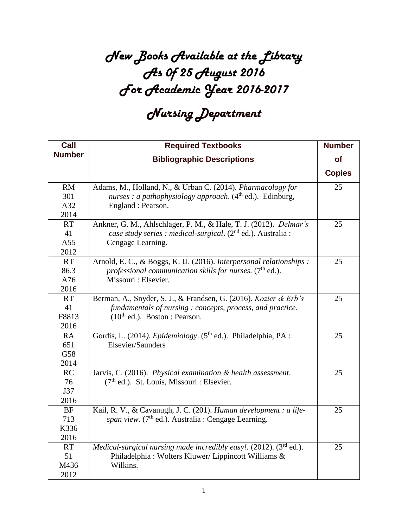## *New Books Available at the Library As 0f 25 August 2016 For Academic Year 2016-2017*

## *Nursing Department*

| Call                             | <b>Required Textbooks</b>                                                                                                                                          | <b>Number</b> |
|----------------------------------|--------------------------------------------------------------------------------------------------------------------------------------------------------------------|---------------|
| <b>Number</b>                    | <b>Bibliographic Descriptions</b>                                                                                                                                  | of            |
|                                  |                                                                                                                                                                    | <b>Copies</b> |
| <b>RM</b><br>301<br>A32<br>2014  | Adams, M., Holland, N., & Urban C. (2014). Pharmacology for<br>nurses : a pathophysiology approach. $(4th$ ed.). Edinburg,<br>England : Pearson.                   | 25            |
| <b>RT</b><br>41<br>A55<br>2012   | Ankner, G. M., Ahlschlager, P. M., & Hale, T. J. (2012). Delmar's<br>case study series : medical-surgical. (2 <sup>nd</sup> ed.). Australia :<br>Cengage Learning. | 25            |
| <b>RT</b><br>86.3<br>A76<br>2016 | Arnold, E. C., & Boggs, K. U. (2016). Interpersonal relationships :<br>professional communication skills for nurses. $(7th$ ed.).<br>Missouri : Elsevier.          | 25            |
| <b>RT</b><br>41<br>F8813<br>2016 | Berman, A., Snyder, S. J., & Frandsen, G. (2016). Kozier & Erb's<br>fundamentals of nursing: concepts, process, and practice.<br>$(10th$ ed.). Boston : Pearson.   | 25            |
| RA<br>651<br>G58<br>2014         | Gordis, L. (2014). Epidemiology. (5 <sup>th</sup> ed.). Philadelphia, PA :<br>Elsevier/Saunders                                                                    | 25            |
| RC<br>76<br>J37<br>2016          | Jarvis, C. (2016). Physical examination & health assessment.<br>(7 <sup>th</sup> ed.). St. Louis, Missouri : Elsevier.                                             | 25            |
| BF<br>713<br>K336<br>2016        | Kail, R. V., & Cavanugh, J. C. (201). Human development : a life-<br>span view. (7 <sup>th</sup> ed.). Australia : Cengage Learning.                               | 25            |
| <b>RT</b><br>51<br>M436<br>2012  | <i>Medical-surgical nursing made incredibly easy!.</i> (2012). $(3^{rd}$ ed.).<br>Philadelphia: Wolters Kluwer/Lippincott Williams &<br>Wilkins.                   | 25            |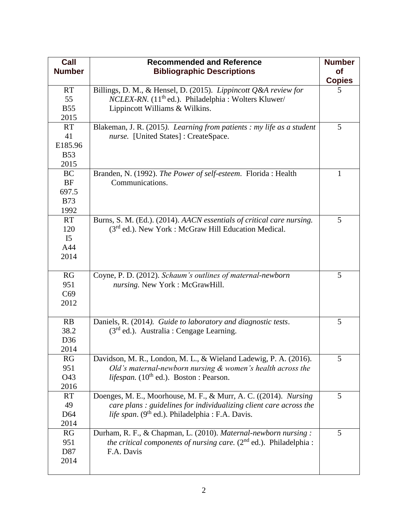| Call<br><b>Number</b> | <b>Recommended and Reference</b><br><b>Bibliographic Descriptions</b>          | <b>Number</b><br><b>of</b><br><b>Copies</b> |
|-----------------------|--------------------------------------------------------------------------------|---------------------------------------------|
| <b>RT</b>             | Billings, D. M., & Hensel, D. (2015). Lippincott Q&A review for                | 5                                           |
| 55                    | <i>NCLEX-RN.</i> (11 <sup>th</sup> ed.). Philadelphia : Wolters Kluwer/        |                                             |
| <b>B55</b>            | Lippincott Williams & Wilkins.                                                 |                                             |
| 2015                  |                                                                                |                                             |
| <b>RT</b>             | Blakeman, J. R. (2015). Learning from patients : my life as a student          | 5                                           |
| 41                    | nurse. [United States]: CreateSpace.                                           |                                             |
| E185.96               |                                                                                |                                             |
| <b>B53</b>            |                                                                                |                                             |
| 2015                  |                                                                                |                                             |
| <b>BC</b>             | Branden, N. (1992). The Power of self-esteem. Florida: Health                  | $\mathbf{1}$                                |
| <b>BF</b>             | Communications.                                                                |                                             |
| 697.5                 |                                                                                |                                             |
| <b>B73</b>            |                                                                                |                                             |
| 1992                  |                                                                                |                                             |
| <b>RT</b>             | Burns, S. M. (Ed.). (2014). AACN essentials of critical care nursing.          | 5                                           |
| 120                   | (3rd ed.). New York : McGraw Hill Education Medical.                           |                                             |
| I <sub>5</sub>        |                                                                                |                                             |
| A44                   |                                                                                |                                             |
| 2014                  |                                                                                |                                             |
|                       |                                                                                |                                             |
| RG                    | Coyne, P. D. (2012). Schaum's outlines of maternal-newborn                     | 5                                           |
| 951                   | nursing. New York: McGrawHill.                                                 |                                             |
| C69                   |                                                                                |                                             |
| 2012                  |                                                                                |                                             |
|                       |                                                                                |                                             |
| RB                    | Daniels, R. (2014). Guide to laboratory and diagnostic tests.                  | 5                                           |
| 38.2                  | $(3rd$ ed.). Australia : Cengage Learning.                                     |                                             |
| D36                   |                                                                                |                                             |
| 2014                  |                                                                                |                                             |
| RG                    | Davidson, M. R., London, M. L., & Wieland Ladewig, P. A. (2016).               | 5                                           |
| 951                   | Old's maternal-newborn nursing $&$ women's health across the                   |                                             |
| O43                   | <i>lifespan.</i> (10 <sup>th</sup> ed.). Boston : Pearson.                     |                                             |
| 2016                  |                                                                                |                                             |
| <b>RT</b>             | Doenges, M. E., Moorhouse, M. F., & Murr, A. C. ((2014). Nursing               | 5                                           |
| 49                    | care plans: guidelines for individualizing client care across the              |                                             |
| D <sub>64</sub>       | life span. (9 <sup>th</sup> ed.). Philadelphia : F.A. Davis.                   |                                             |
| 2014                  |                                                                                |                                             |
| RG                    | Durham, R. F., & Chapman, L. (2010). Maternal-newborn nursing:                 | 5                                           |
| 951                   | <i>the critical components of nursing care.</i> $(2^{nd}$ ed.). Philadelphia : |                                             |
| D87                   | F.A. Davis                                                                     |                                             |
| 2014                  |                                                                                |                                             |
|                       |                                                                                |                                             |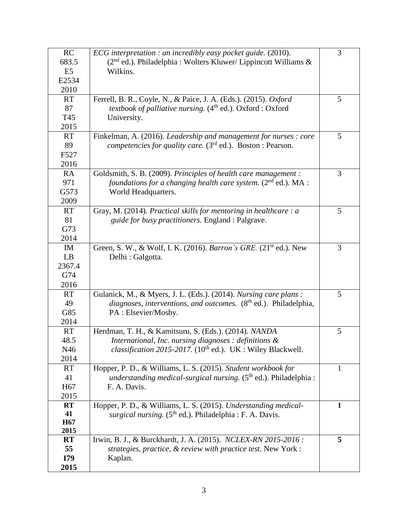| RC                          | ECG interpretation : an incredibly easy pocket guide. (2010).                       | 3            |
|-----------------------------|-------------------------------------------------------------------------------------|--------------|
| 683.5                       | $(2nd$ ed.). Philadelphia : Wolters Kluwer/ Lippincott Williams &                   |              |
| E <sub>5</sub>              | Wilkins.                                                                            |              |
| E2534                       |                                                                                     |              |
| 2010                        |                                                                                     |              |
| <b>RT</b>                   | Ferrell, B. R., Coyle, N., & Paice, J. A. (Eds.). (2015). Oxford                    | 5            |
| 87                          | <i>textbook of palliative nursing.</i> (4 <sup>th</sup> ed.). Oxford : Oxford       |              |
| T45                         | University.                                                                         |              |
| 2015                        |                                                                                     |              |
| <b>RT</b>                   | Finkelman, A. (2016). Leadership and management for nurses : core                   | 5            |
| 89                          | <i>competencies for quality care.</i> ( $3rd$ ed.). Boston : Pearson.               |              |
| F527                        |                                                                                     |              |
| 2016                        |                                                                                     |              |
| <b>RA</b>                   | Goldsmith, S. B. (2009). Principles of health care management :                     | 3            |
| 971                         | foundations for a changing health care system. $(2^{nd}$ ed.). MA :                 |              |
| G573                        | World Headquarters.                                                                 |              |
| 2009                        |                                                                                     |              |
| <b>RT</b>                   | Gray, M. (2014). Practical skills for mentoring in healthcare : a                   | 5            |
| 81                          | guide for busy practitioners. England : Palgrave.                                   |              |
| G73                         |                                                                                     |              |
| 2014                        |                                                                                     |              |
| IM                          | Green, S. W., & Wolf, I. K. (2016). Barron's GRE. (21 <sup>st</sup> ed.). New       | 3            |
| LB                          | Delhi : Galgotta.                                                                   |              |
| 2367.4                      |                                                                                     |              |
| G74                         |                                                                                     |              |
| 2016                        |                                                                                     |              |
| <b>RT</b>                   | Gulanick, M., & Myers, J. L. (Eds.). (2014). Nursing care plans :                   | 5            |
| 49                          | <i>diagnoses, interventions, and outcomes.</i> (8 <sup>th</sup> ed.). Philadelphia, |              |
| G85                         | PA : Elsevier/Mosby.                                                                |              |
| 2014                        |                                                                                     |              |
| <b>RT</b>                   | Herdman, T. H., & Kamitsuru, S. (Eds.). (2014). NANDA                               | 5            |
| 48.5                        | International, Inc. nursing diagnoses : definitions $\&$                            |              |
| N46                         | <i>classification 2015-2017.</i> (10 <sup>th</sup> ed.). UK : Wiley Blackwell.      |              |
| 2014                        |                                                                                     |              |
| <b>RT</b>                   | Hopper, P. D., & Williams, L. S. (2015). Student workbook for                       | 1            |
| 41                          | understanding medical-surgical nursing. $(5th$ ed.). Philadelphia :                 |              |
| H <sub>67</sub>             | F. A. Davis.                                                                        |              |
| 2015                        |                                                                                     |              |
| RT                          | Hopper, P. D., & Williams, L. S. (2015). Understanding medical-                     | $\mathbf{1}$ |
| 41                          | surgical nursing. (5 <sup>th</sup> ed.). Philadelphia : F. A. Davis.                |              |
| H <sub>67</sub><br>2015     |                                                                                     |              |
|                             | Irwin, B. J., & Burckhardt, J. A. (2015). NCLEX-RN 2015-2016:                       | 5            |
| $\mathbf{R}$ <b>T</b><br>55 |                                                                                     |              |
| I79                         | strategies, practice, & review with practice test. New York :                       |              |
|                             | Kaplan.                                                                             |              |
| 2015                        |                                                                                     |              |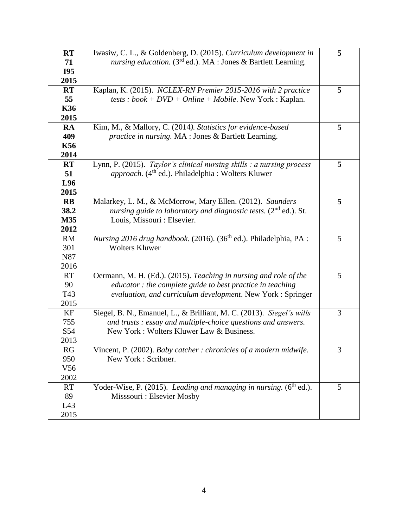| <b>RT</b>        | Iwasiw, C. L., & Goldenberg, D. (2015). Curriculum development in                                                                       | 5 |
|------------------|-----------------------------------------------------------------------------------------------------------------------------------------|---|
| 71<br><b>I95</b> | nursing education. ( $3rd$ ed.). MA : Jones & Bartlett Learning.                                                                        |   |
|                  |                                                                                                                                         |   |
| 2015             |                                                                                                                                         |   |
| <b>RT</b>        | Kaplan, K. (2015). NCLEX-RN Premier 2015-2016 with 2 practice                                                                           | 5 |
| 55<br><b>K36</b> | tests : book + $DVD$ + Online + Mobile. New York : Kaplan.                                                                              |   |
| 2015             |                                                                                                                                         |   |
|                  |                                                                                                                                         |   |
| RA<br>409        | Kim, M., & Mallory, C. (2014). Statistics for evidence-based                                                                            | 5 |
| <b>K56</b>       | practice in nursing. MA : Jones & Bartlett Learning.                                                                                    |   |
| 2014             |                                                                                                                                         |   |
| <b>RT</b>        |                                                                                                                                         |   |
| 51               | Lynn, P. (2015). Taylor's clinical nursing skills : a nursing process<br>approach. (4 <sup>th</sup> ed.). Philadelphia : Wolters Kluwer | 5 |
| L96              |                                                                                                                                         |   |
| 2015             |                                                                                                                                         |   |
| $\mathbf{R}$     | Malarkey, L. M., & McMorrow, Mary Ellen. (2012). Saunders                                                                               | 5 |
| 38.2             | nursing guide to laboratory and diagnostic tests. $(2^{nd}$ ed.). St.                                                                   |   |
| M35              | Louis, Missouri : Elsevier.                                                                                                             |   |
| 2012             |                                                                                                                                         |   |
| <b>RM</b>        | Nursing 2016 drug handbook. (2016). (36 <sup>th</sup> ed.). Philadelphia, PA :                                                          | 5 |
| 301              | <b>Wolters Kluwer</b>                                                                                                                   |   |
| N87              |                                                                                                                                         |   |
| 2016             |                                                                                                                                         |   |
| <b>RT</b>        | Oermann, M. H. (Ed.). (2015). Teaching in nursing and role of the                                                                       | 5 |
| 90               | educator : the complete guide to best practice in teaching                                                                              |   |
| T43              | evaluation, and curriculum development. New York : Springer                                                                             |   |
| 2015             |                                                                                                                                         |   |
| KF               | Siegel, B. N., Emanuel, L., & Brilliant, M. C. (2013). Siegel's wills                                                                   | 3 |
| 755              | and trusts: essay and multiple-choice questions and answers.                                                                            |   |
| S54              | New York: Wolters Kluwer Law & Business.                                                                                                |   |
| 2013             |                                                                                                                                         |   |
| RG               | Vincent, P. (2002). Baby catcher: chronicles of a modern midwife.                                                                       | 3 |
| 950              | New York: Scribner.                                                                                                                     |   |
| V <sub>56</sub>  |                                                                                                                                         |   |
| 2002             |                                                                                                                                         |   |
| <b>RT</b>        | Yoder-Wise, P. (2015). Leading and managing in nursing. (6 <sup>th</sup> ed.).                                                          | 5 |
| 89               | Misssouri : Elsevier Mosby                                                                                                              |   |
| L43              |                                                                                                                                         |   |
|                  |                                                                                                                                         |   |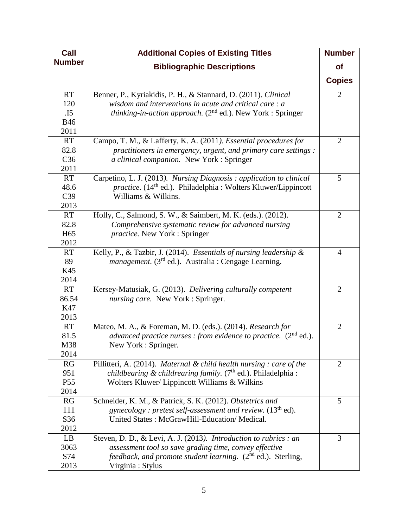| Call            | <b>Additional Copies of Existing Titles</b>                                      | <b>Number</b>  |
|-----------------|----------------------------------------------------------------------------------|----------------|
| <b>Number</b>   | <b>Bibliographic Descriptions</b>                                                | <b>of</b>      |
|                 |                                                                                  | <b>Copies</b>  |
| <b>RT</b>       | Benner, P., Kyriakidis, P. H., & Stannard, D. (2011). Clinical                   | $\overline{2}$ |
| 120             | wisdom and interventions in acute and critical care: a                           |                |
| .15             | <i>thinking-in-action approach.</i> ( $2nd$ ed.). New York : Springer            |                |
| <b>B46</b>      |                                                                                  |                |
| 2011            |                                                                                  |                |
| <b>RT</b>       | Campo, T. M., & Lafferty, K. A. (2011). Essential procedures for                 | 2              |
| 82.8            | practitioners in emergency, urgent, and primary care settings :                  |                |
| C36             | a clinical companion. New York : Springer                                        |                |
| 2011            |                                                                                  |                |
| <b>RT</b>       | Carpetino, L. J. (2013). Nursing Diagnosis: application to clinical              | 5              |
| 48.6            | <i>practice.</i> (14 <sup>th</sup> ed.). Philadelphia: Wolters Kluwer/Lippincott |                |
| C39             | Williams & Wilkins.                                                              |                |
| 2013            |                                                                                  |                |
| <b>RT</b>       | Holly, C., Salmond, S. W., & Saimbert, M. K. (eds.). (2012).                     | $\overline{2}$ |
| 82.8            | Comprehensive systematic review for advanced nursing                             |                |
| H <sub>65</sub> | <i>practice</i> . New York : Springer                                            |                |
| 2012            |                                                                                  |                |
| <b>RT</b>       | Kelly, P., & Tazbir, J. (2014). Essentials of nursing leadership &               | 4              |
| 89              | <i>management.</i> ( $3rd$ ed.). Australia : Cengage Learning.                   |                |
| K45             |                                                                                  |                |
| 2014            |                                                                                  |                |
| <b>RT</b>       | Kersey-Matusiak, G. (2013). Delivering culturally competent                      | $\overline{2}$ |
| 86.54           | nursing care. New York : Springer.                                               |                |
| K47             |                                                                                  |                |
| 2013            |                                                                                  |                |
| <b>RT</b>       | Mateo, M. A., & Foreman, M. D. (eds.). (2014). Research for                      | $\overline{2}$ |
| 81.5            | advanced practice nurses : from evidence to practice. $(2nd$ ed.).               |                |
| M38             | New York : Springer.                                                             |                |
| 2014            |                                                                                  |                |
| RG              | Pillitteri, A. (2014). Maternal & child health nursing : care of the             | $\overline{2}$ |
| 951             | <i>childbearing &amp; childrearing family.</i> $(7th$ ed.). Philadelphia :       |                |
| P <sub>55</sub> | Wolters Kluwer/ Lippincott Williams & Wilkins                                    |                |
| 2014            |                                                                                  |                |
| RG              | Schneider, K. M., & Patrick, S. K. (2012). Obstetrics and                        | 5              |
| 111             | gynecology: pretest self-assessment and review. $(13th$ ed).                     |                |
| S36             | United States: McGrawHill-Education/Medical.                                     |                |
| 2012            |                                                                                  |                |
| LB              | Steven, D. D., & Levi, A. J. (2013). Introduction to rubrics : an                | 3              |
| 3063            | assessment tool so save grading time, convey effective                           |                |
| S74             | <i>feedback, and promote student learning.</i> $(2^{nd}$ ed.). Sterling,         |                |
| 2013            | Virginia: Stylus                                                                 |                |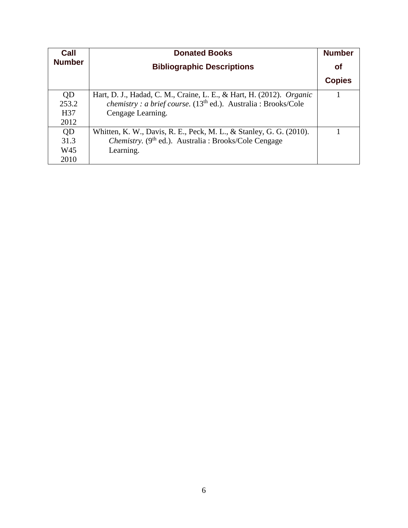| Call          | <b>Donated Books</b>                                                     | <b>Number</b> |
|---------------|--------------------------------------------------------------------------|---------------|
| <b>Number</b> | <b>Bibliographic Descriptions</b>                                        | <b>of</b>     |
|               |                                                                          | <b>Copies</b> |
| QD            | Hart, D. J., Hadad, C. M., Craine, L. E., & Hart, H. (2012). Organic     |               |
| 253.2         | <i>chemistry : a brief course.</i> $(13th$ ed.). Australia : Brooks/Cole |               |
| H37           | Cengage Learning.                                                        |               |
| 2012          |                                                                          |               |
| QD            | Whitten, K. W., Davis, R. E., Peck, M. L., & Stanley, G. G. (2010).      |               |
| 31.3          | Chemistry. (9 <sup>th</sup> ed.). Australia : Brooks/Cole Cengage        |               |
| W45           | Learning.                                                                |               |
| 2010          |                                                                          |               |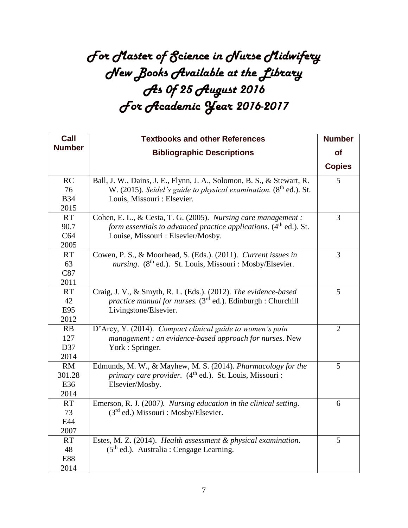## *For Master of Science in Nurse Midwifery New Books Available at the Library As 0f 25 August 2016 For Academic Year 2016-2017*

| Call          | <b>Textbooks and other References</b>                                         | <b>Number</b>  |
|---------------|-------------------------------------------------------------------------------|----------------|
| <b>Number</b> | <b>Bibliographic Descriptions</b>                                             | of             |
|               |                                                                               | <b>Copies</b>  |
| RC            | Ball, J. W., Dains, J. E., Flynn, J. A., Solomon, B. S., & Stewart, R.        | 5              |
| 76            | W. (2015). Seidel's guide to physical examination. (8th ed.). St.             |                |
| <b>B34</b>    | Louis, Missouri : Elsevier.                                                   |                |
| 2015          |                                                                               |                |
| <b>RT</b>     | Cohen, E. L., & Cesta, T. G. (2005). Nursing care management :                | 3              |
| 90.7          | form essentials to advanced practice applications. (4 <sup>th</sup> ed.). St. |                |
| C64           | Louise, Missouri : Elsevier/Mosby.                                            |                |
| 2005          |                                                                               |                |
| <b>RT</b>     | Cowen, P. S., & Moorhead, S. (Eds.). (2011). Current issues in                | $\overline{3}$ |
| 63            | nursing. (8 <sup>th</sup> ed.). St. Louis, Missouri : Mosby/Elsevier.         |                |
| C87           |                                                                               |                |
| 2011          |                                                                               |                |
| <b>RT</b>     | Craig, J. V., & Smyth, R. L. (Eds.). (2012). The evidence-based               | 5              |
| 42            | practice manual for nurses. $(3rd$ ed.). Edinburgh : Churchill                |                |
| E95           | Livingstone/Elsevier.                                                         |                |
| 2012          |                                                                               |                |
| RB            | D'Arcy, Y. (2014). Compact clinical guide to women's pain                     | $\overline{2}$ |
| 127           | management : an evidence-based approach for nurses. New                       |                |
| D37           | York: Springer.                                                               |                |
| 2014          |                                                                               |                |
| <b>RM</b>     | Edmunds, M. W., & Mayhew, M. S. (2014). Pharmacology for the                  | 5              |
| 301.28        | primary care provider. (4 <sup>th</sup> ed.). St. Louis, Missouri :           |                |
| E36           | Elsevier/Mosby.                                                               |                |
| 2014          |                                                                               |                |
| <b>RT</b>     | Emerson, R. J. (2007). Nursing education in the clinical setting.             | 6              |
| 73            | $(3rd$ ed.) Missouri : Mosby/Elsevier.                                        |                |
| E44           |                                                                               |                |
| 2007          |                                                                               |                |
| <b>RT</b>     | Estes, M. Z. (2014). Health assessment & physical examination.                | 5              |
| 48            | $(5th$ ed.). Australia : Cengage Learning.                                    |                |
| <b>E88</b>    |                                                                               |                |
| 2014          |                                                                               |                |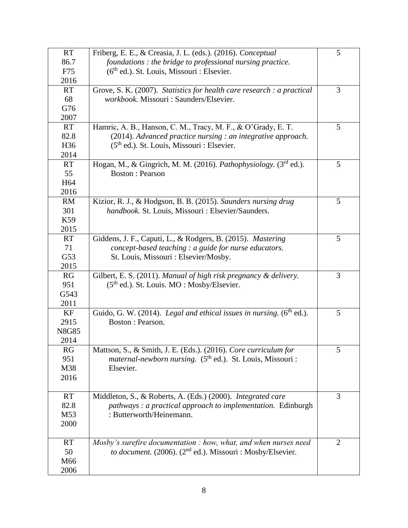| <b>RT</b>       | Friberg, E. E., & Creasia, J. L. (eds.). (2016). Conceptual                   | 5              |
|-----------------|-------------------------------------------------------------------------------|----------------|
| 86.7            | foundations : the bridge to professional nursing practice.                    |                |
| F75             | $(6th$ ed.). St. Louis, Missouri : Elsevier.                                  |                |
| 2016            |                                                                               |                |
| <b>RT</b>       | Grove, S. K. (2007). Statistics for health care research : a practical        | 3              |
| 68              | workbook. Missouri : Saunders/Elsevier.                                       |                |
| G76             |                                                                               |                |
| 2007            |                                                                               |                |
| <b>RT</b>       | Hamric, A. B., Hanson, C. M., Tracy, M. F., & O'Grady, E. T.                  | 5              |
| 82.8            | $(2014)$ . Advanced practice nursing : an integrative approach.               |                |
| H <sub>36</sub> | (5 <sup>th</sup> ed.). St. Louis, Missouri : Elsevier.                        |                |
| 2014            |                                                                               |                |
| <b>RT</b>       | Hogan, M., & Gingrich, M. M. (2016). Pathophysiology. $(3rd$ ed.).            | 5              |
| 55              | <b>Boston: Pearson</b>                                                        |                |
| H <sub>64</sub> |                                                                               |                |
| 2016            |                                                                               |                |
| RM              | Kizior, R. J., & Hodgson, B. B. (2015). Saunders nursing drug                 | 5              |
| 301             | handbook. St. Louis, Missouri : Elsevier/Saunders.                            |                |
| K59             |                                                                               |                |
| 2015            |                                                                               |                |
| <b>RT</b>       | Giddens, J. F., Caputi, L., & Rodgers, B. (2015). Mastering                   | 5              |
| 71              | concept-based teaching : a guide for nurse educators.                         |                |
| G53             | St. Louis, Missouri : Elsevier/Mosby.                                         |                |
| 2015            |                                                                               |                |
| RG              | Gilbert, E. S. (2011). Manual of high risk pregnancy & delivery.              | 3              |
| 951             | $(5th$ ed.). St. Louis. MO : Mosby/Elsevier.                                  |                |
| G543            |                                                                               |                |
| 2011            |                                                                               |                |
| KF              | Guido, G. W. (2014). Legal and ethical issues in nursing. (6th ed.).          | 5              |
| 2915            | Boston: Pearson.                                                              |                |
| <b>N8G85</b>    |                                                                               |                |
| 2014            |                                                                               |                |
| RG              | Mattson, S., & Smith, J. E. (Eds.). (2016). Core curriculum for               | 5              |
| 951             | <i>maternal-newborn nursing.</i> (5 <sup>th</sup> ed.). St. Louis, Missouri : |                |
| M38             | Elsevier.                                                                     |                |
| 2016            |                                                                               |                |
|                 |                                                                               |                |
| <b>RT</b>       | Middleton, S., & Roberts, A. (Eds.) (2000). Integrated care                   | 3              |
| 82.8            | pathways : a practical approach to implementation. Edinburgh                  |                |
| M53             | : Butterworth/Heinemann.                                                      |                |
| 2000            |                                                                               |                |
|                 |                                                                               |                |
| <b>RT</b>       | Mosby's surefire documentation : how, what, and when nurses need              | $\overline{2}$ |
| 50              | <i>to document.</i> (2006). (2 <sup>nd</sup> ed.). Missouri : Mosby/Elsevier. |                |
| M66             |                                                                               |                |
| 2006            |                                                                               |                |